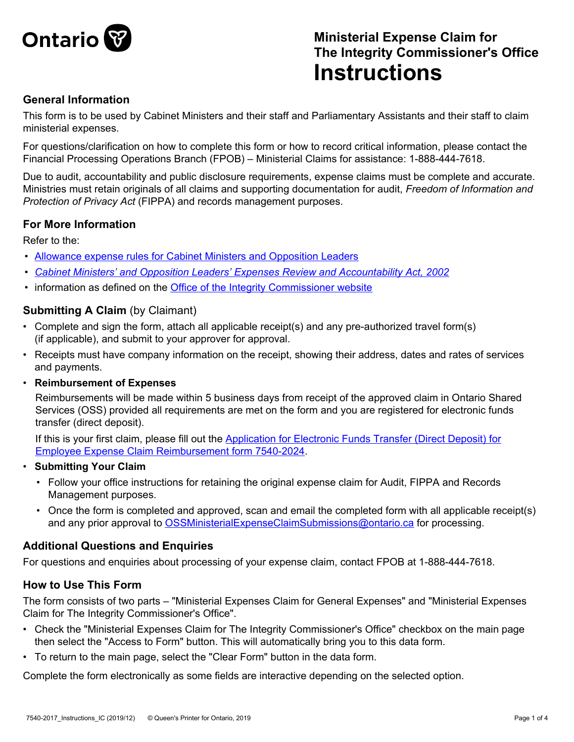

# **Ministerial Expense Claim for The Integrity Commissioner's Office Instructions**

## **General Information**

This form is to be used by Cabinet Ministers and their staff and Parliamentary Assistants and their staff to claim ministerial expenses.

For questions/clarification on how to complete this form or how to record critical information, please contact the Financial Processing Operations Branch (FPOB) – Ministerial Claims for assistance: 1-888-444-7618.

Due to audit, accountability and public disclosure requirements, expense claims must be complete and accurate. Ministries must retain originals of all claims and supporting documentation for audit, *Freedom of Information and Protection of Privacy Act* (FIPPA) and records management purposes.

## **For More Information**

Refer to the:

- [Allowance expense rules for Cabinet Ministers and Opposition Leaders](https://www.ontario.ca/page/allowable-expense-rules-cabinet-ministers-and-opposition-leaders-2020)
- *• [Cabinet Ministers' and Opposition Leaders' Expenses Review and Accountability Act, 2002](http://www.e-laws.gov.on.ca/html/statutes/english/elaws_statutes_02c34_e.htm)*
- information as defined on the [Office of the Integrity Commissioner website](http://www.oico.on.ca/)

#### **Submitting A Claim (by Claimant)**

- Complete and sign the form, attach all applicable receipt(s) and any pre-authorized travel form(s) (if applicable), and submit to your approver for approval.
- Receipts must have company information on the receipt, showing their address, dates and rates of services and payments.
- **Reimbursement of Expenses**

Reimbursements will be made within 5 business days from receipt of the approved claim in Ontario Shared Services (OSS) provided all requirements are met on the form and you are registered for electronic funds transfer (direct deposit).

If this is your first claim, please fill out the Application for Electronic Funds Transfer (Direct Deposit) for [Employee Expense Claim Reimbursement form 7540-2024](http://intra.forms.ssb.gov.on.ca/mbs/ssb/forms/ssbforms.nsf/FormDetail?OpenForm&ACT=RDR&TAB=PROFILE&SRCH=&ENV=OPS&TIT=7540-2024&NO=130-7540-2024).

- **Submitting Your Claim**
	- Follow your office instructions for retaining the original expense claim for Audit, FIPPA and Records Management purposes.
	- Once the form is completed and approved, scan and email the completed form with all applicable receipt(s) and any prior approval to [OSSMinisterialExpenseClaimSubmissions@ontario.ca](mailto:OSSMinisterialExpenseClaimSubmissions@ontario.ca) for processing.

## **Additional Questions and Enquiries**

For questions and enquiries about processing of your expense claim, contact FPOB at 1-888-444-7618.

#### **How to Use This Form**

The form consists of two parts – "Ministerial Expenses Claim for General Expenses" and "Ministerial Expenses Claim for The Integrity Commissioner's Office".

- Check the "Ministerial Expenses Claim for The Integrity Commissioner's Office" checkbox on the main page then select the "Access to Form" button. This will automatically bring you to this data form.
- To return to the main page, select the "Clear Form" button in the data form.

Complete the form electronically as some fields are interactive depending on the selected option.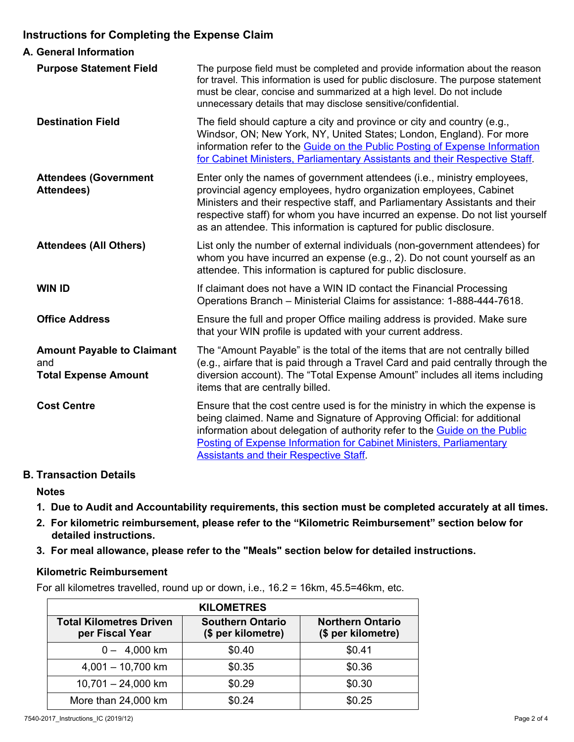## **Instructions for Completing the Expense Claim**

| A. General Information                                                  |                                                                                                                                                                                                                                                                                                                                                                                       |
|-------------------------------------------------------------------------|---------------------------------------------------------------------------------------------------------------------------------------------------------------------------------------------------------------------------------------------------------------------------------------------------------------------------------------------------------------------------------------|
| <b>Purpose Statement Field</b>                                          | The purpose field must be completed and provide information about the reason<br>for travel. This information is used for public disclosure. The purpose statement<br>must be clear, concise and summarized at a high level. Do not include<br>unnecessary details that may disclose sensitive/confidential.                                                                           |
| <b>Destination Field</b>                                                | The field should capture a city and province or city and country (e.g.,<br>Windsor, ON; New York, NY, United States; London, England). For more<br>information refer to the Guide on the Public Posting of Expense Information<br>for Cabinet Ministers, Parliamentary Assistants and their Respective Staff.                                                                         |
| <b>Attendees (Government</b><br><b>Attendees)</b>                       | Enter only the names of government attendees (i.e., ministry employees,<br>provincial agency employees, hydro organization employees, Cabinet<br>Ministers and their respective staff, and Parliamentary Assistants and their<br>respective staff) for whom you have incurred an expense. Do not list yourself<br>as an attendee. This information is captured for public disclosure. |
| <b>Attendees (All Others)</b>                                           | List only the number of external individuals (non-government attendees) for<br>whom you have incurred an expense (e.g., 2). Do not count yourself as an<br>attendee. This information is captured for public disclosure.                                                                                                                                                              |
| <b>WIN ID</b>                                                           | If claimant does not have a WIN ID contact the Financial Processing<br>Operations Branch - Ministerial Claims for assistance: 1-888-444-7618.                                                                                                                                                                                                                                         |
| <b>Office Address</b>                                                   | Ensure the full and proper Office mailing address is provided. Make sure<br>that your WIN profile is updated with your current address.                                                                                                                                                                                                                                               |
| <b>Amount Payable to Claimant</b><br>and<br><b>Total Expense Amount</b> | The "Amount Payable" is the total of the items that are not centrally billed<br>(e.g., airfare that is paid through a Travel Card and paid centrally through the<br>diversion account). The "Total Expense Amount" includes all items including<br>items that are centrally billed.                                                                                                   |
| <b>Cost Centre</b>                                                      | Ensure that the cost centre used is for the ministry in which the expense is<br>being claimed. Name and Signature of Approving Official: for additional<br>information about delegation of authority refer to the Guide on the Public<br>Posting of Expense Information for Cabinet Ministers, Parliamentary<br><b>Assistants and their Respective Staff.</b>                         |

## **B. Transaction Details**

**Notes**

- **1. Due to Audit and Accountability requirements, this section must be completed accurately at all times.**
- **2. For kilometric reimbursement, please refer to the "Kilometric Reimbursement" section below for detailed instructions.**
- **3. For meal allowance, please refer to the "Meals" section below for detailed instructions.**

#### **Kilometric Reimbursement**

For all kilometres travelled, round up or down, i.e., 16.2 = 16km, 45.5=46km, etc.

| <b>KILOMETRES</b>                                 |                                               |                                               |  |
|---------------------------------------------------|-----------------------------------------------|-----------------------------------------------|--|
| <b>Total Kilometres Driven</b><br>per Fiscal Year | <b>Southern Ontario</b><br>(\$ per kilometre) | <b>Northern Ontario</b><br>(\$ per kilometre) |  |
| $0 - 4,000$ km                                    | \$0.40                                        | \$0.41                                        |  |
| $4,001 - 10,700$ km                               | \$0.35                                        | \$0.36                                        |  |
| $10,701 - 24,000$ km                              | \$0.29                                        | \$0.30                                        |  |
| More than 24,000 km                               | \$0.24                                        | \$0.25                                        |  |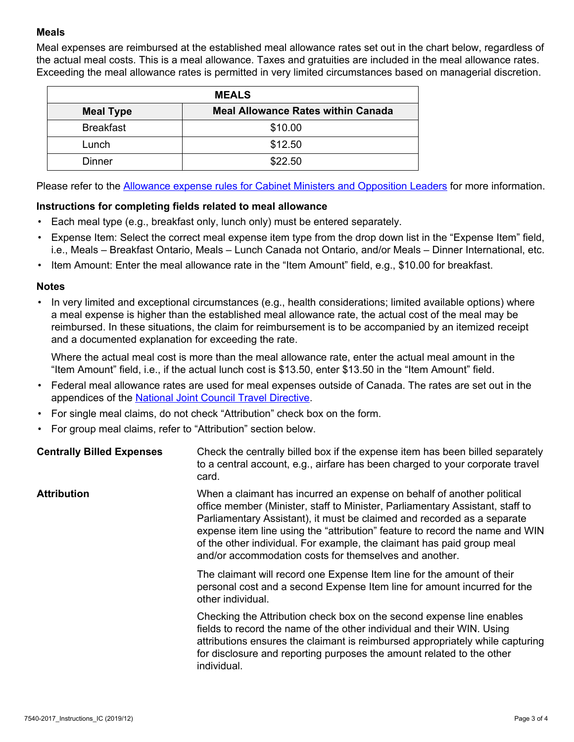#### **Meals**

Meal expenses are reimbursed at the established meal allowance rates set out in the chart below, regardless of the actual meal costs. This is a meal allowance. Taxes and gratuities are included in the meal allowance rates. Exceeding the meal allowance rates is permitted in very limited circumstances based on managerial discretion.

| <b>MEALS</b>     |                                           |  |
|------------------|-------------------------------------------|--|
| <b>Meal Type</b> | <b>Meal Allowance Rates within Canada</b> |  |
| <b>Breakfast</b> | \$10.00                                   |  |
| Lunch            | \$12.50                                   |  |
| Dinner           | \$22.50                                   |  |

Please refer to the [Allowance expense rules for Cabinet Ministers and Opposition Leaders](https://www.ontario.ca/page/allowable-expense-rules-cabinet-ministers-and-opposition-leaders-2020) for more information.

#### **Instructions for completing fields related to meal allowance**

- $\bullet$  Each meal type (e.g., breakfast only, lunch only) must be entered separately.
- Expense Item: Select the correct meal expense item type from the drop down list in the "Expense Item" field, i.e., Meals – Breakfast Ontario, Meals – Lunch Canada not Ontario, and/or Meals – Dinner International, etc.
- Item Amount: Enter the meal allowance rate in the "Item Amount" field, e.g., \$10.00 for breakfast.

#### **Notes**

• In very limited and exceptional circumstances (e.g., health considerations; limited available options) where a meal expense is higher than the established meal allowance rate, the actual cost of the meal may be reimbursed. In these situations, the claim for reimbursement is to be accompanied by an itemized receipt and a documented explanation for exceeding the rate.

Where the actual meal cost is more than the meal allowance rate, enter the actual meal amount in the "Item Amount" field, i.e., if the actual lunch cost is \$13.50, enter \$13.50 in the "Item Amount" field.

- Federal meal allowance rates are used for meal expenses outside of Canada. The rates are set out in the appendices of the [National Joint Council Travel Directive](https://www.njc-cnm.gc.ca/directive/d10/en).
- For single meal claims, do not check "Attribution" check box on the form.
- For group meal claims, refer to "Attribution" section below.

| <b>Centrally Billed Expenses</b> | Check the centrally billed box if the expense item has been billed separately<br>to a central account, e.g., airfare has been charged to your corporate travel<br>card.                                                                                                                                                                                                                                                                                |
|----------------------------------|--------------------------------------------------------------------------------------------------------------------------------------------------------------------------------------------------------------------------------------------------------------------------------------------------------------------------------------------------------------------------------------------------------------------------------------------------------|
| <b>Attribution</b>               | When a claimant has incurred an expense on behalf of another political<br>office member (Minister, staff to Minister, Parliamentary Assistant, staff to<br>Parliamentary Assistant), it must be claimed and recorded as a separate<br>expense item line using the "attribution" feature to record the name and WIN<br>of the other individual. For example, the claimant has paid group meal<br>and/or accommodation costs for themselves and another. |
|                                  | The claimant will record one Expense Item line for the amount of their<br>personal cost and a second Expense Item line for amount incurred for the<br>other individual.                                                                                                                                                                                                                                                                                |
|                                  | Checking the Attribution check box on the second expense line enables<br>fields to record the name of the other individual and their WIN. Using<br>attributions ensures the claimant is reimbursed appropriately while capturing<br>for disclosure and reporting purposes the amount related to the other<br>individual.                                                                                                                               |